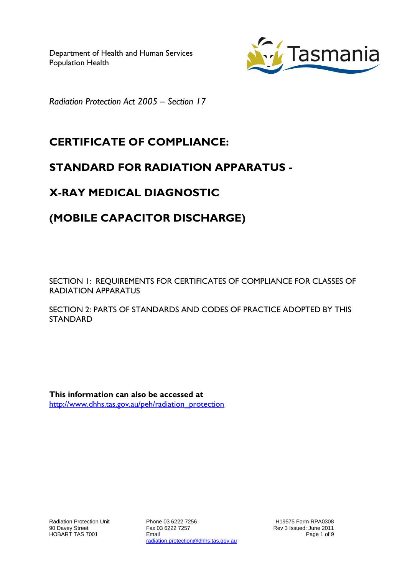

*Radiation Protection Act 2005 – Section 17*

# **CERTIFICATE OF COMPLIANCE:**

### **STANDARD FOR RADIATION APPARATUS -**

# **X-RAY MEDICAL DIAGNOSTIC**

## **(MOBILE CAPACITOR DISCHARGE)**

SECTION 1: REQUIREMENTS FOR CERTIFICATES OF COMPLIANCE FOR CLASSES OF RADIATION APPARATUS

SECTION 2: PARTS OF STANDARDS AND CODES OF PRACTICE ADOPTED BY THIS **STANDARD** 

**This information can also be accessed at** [http://www.dhhs.tas.gov.au/peh/radiation\\_protection](http://www.dhhs.tas.gov.au/peh/radiation_protection)

Phone 03 6222 7256 Fax 03 6222 7257 Email radiation.protection@dhhs.tas.gov.au

H19575 Form RPA0308 Rev 3 Issued: June 2011 Page 1 of 9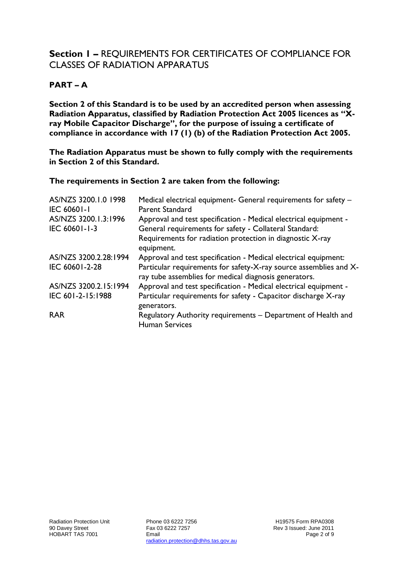### **Section 1 –** REQUIREMENTS FOR CERTIFICATES OF COMPLIANCE FOR CLASSES OF RADIATION APPARATUS

#### **PART – A**

**Section 2 of this Standard is to be used by an accredited person when assessing Radiation Apparatus, classified by Radiation Protection Act 2005 licences as "Xray Mobile Capacitor Discharge", for the purpose of issuing a certificate of compliance in accordance with 17 (1) (b) of the Radiation Protection Act 2005.**

**The Radiation Apparatus must be shown to fully comply with the requirements in Section 2 of this Standard.**

#### **The requirements in Section 2 are taken from the following:**

| AS/NZS 3200.1.0 1998<br><b>IEC 60601-1</b> | Medical electrical equipment- General requirements for safety -<br>Parent Standard                                         |
|--------------------------------------------|----------------------------------------------------------------------------------------------------------------------------|
| AS/NZS 3200.1.3:1996<br>IEC 60601-1-3      | Approval and test specification - Medical electrical equipment -<br>General requirements for safety - Collateral Standard: |
|                                            | Requirements for radiation protection in diagnostic X-ray<br>equipment.                                                    |
| AS/NZS 3200.2.28:1994                      | Approval and test specification - Medical electrical equipment:                                                            |
| IEC 60601-2-28                             | Particular requirements for safety-X-ray source assemblies and X-<br>ray tube assemblies for medical diagnosis generators. |
| AS/NZS 3200.2.15:1994                      | Approval and test specification - Medical electrical equipment -                                                           |
| IEC 601-2-15:1988                          | Particular requirements for safety - Capacitor discharge X-ray<br>generators.                                              |
| <b>RAR</b>                                 | Regulatory Authority requirements - Department of Health and<br><b>Human Services</b>                                      |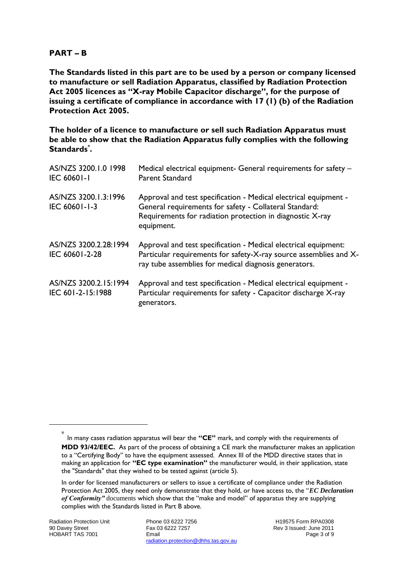#### **PART – B**

**The Standards listed in this part are to be used by a person or company licensed to manufacture or sell Radiation Apparatus, classified by Radiation Protection Act 2005 licences as "X-ray Mobile Capacitor discharge", for the purpose of issuing a certificate of compliance in accordance with 17 (1) (b) of the Radiation Protection Act 2005.**

**The holder of a licence to manufacture or sell such Radiation Apparatus must be able to show that the Radiation Apparatus fully complies with the following Standards\* .**

| AS/NZS 3200.1.0 1998<br><b>IEC 60601-1</b> | Medical electrical equipment- General requirements for safety -<br>Parent Standard                                                                                                                    |
|--------------------------------------------|-------------------------------------------------------------------------------------------------------------------------------------------------------------------------------------------------------|
| AS/NZS 3200.1.3:1996<br>IEC 60601-1-3      | Approval and test specification - Medical electrical equipment -<br>General requirements for safety - Collateral Standard:<br>Requirements for radiation protection in diagnostic X-ray<br>equipment. |
| AS/NZS 3200.2.28:1994<br>IEC 60601-2-28    | Approval and test specification - Medical electrical equipment:<br>Particular requirements for safety-X-ray source assemblies and X-<br>ray tube assemblies for medical diagnosis generators.         |
| AS/NZS 3200.2.15:1994<br>IEC 601-2-15:1988 | Approval and test specification - Medical electrical equipment -<br>Particular requirements for safety - Capacitor discharge X-ray<br>generators.                                                     |

-

<sup>\*</sup> In many cases radiation apparatus will bear the **"CE"** mark, and comply with the requirements of **MDD 93/42/EEC.** As part of the process of obtaining a CE mark the manufacturer makes an application to a "Certifying Body" to have the equipment assessed. Annex III of the MDD directive states that in making an application for **"EC type examination"** the manufacturer would, in their application, state the "Standards" that they wished to be tested against (article 5).

In order for licensed manufacturers or sellers to issue a certificate of compliance under the Radiation Protection Act 2005, they need only demonstrate that they hold, or have access to, the *"EC Declaration*" of Conformity" documents which show that the "make and model" of apparatus they are supplying complies with the Standards listed in Part B above.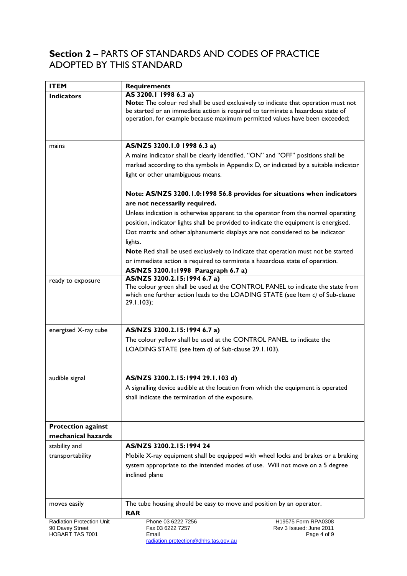### **Section 2 –** PARTS OF STANDARDS AND CODES OF PRACTICE ADOPTED BY THIS STANDARD

| <b>ITEM</b>                               | <b>Requirements</b>                                                                                                                                                                                                                                                           |
|-------------------------------------------|-------------------------------------------------------------------------------------------------------------------------------------------------------------------------------------------------------------------------------------------------------------------------------|
| <b>Indicators</b>                         | AS 3200.1 1998 6.3 a)<br>Note: The colour red shall be used exclusively to indicate that operation must not<br>be started or an immediate action is required to terminate a hazardous state of<br>operation, for example because maximum permitted values have been exceeded; |
| mains                                     | AS/NZS 3200.1.0 1998 6.3 a)                                                                                                                                                                                                                                                   |
|                                           | A mains indicator shall be clearly identified. "ON" and "OFF" positions shall be<br>marked according to the symbols in Appendix D, or indicated by a suitable indicator<br>light or other unambiguous means.                                                                  |
|                                           | Note: AS/NZS 3200.1.0:1998 56.8 provides for situations when indicators                                                                                                                                                                                                       |
|                                           | are not necessarily required.                                                                                                                                                                                                                                                 |
|                                           | Unless indication is otherwise apparent to the operator from the normal operating<br>position, indicator lights shall be provided to indicate the equipment is energised.<br>Dot matrix and other alphanumeric displays are not considered to be indicator<br>lights.         |
|                                           | Note Red shall be used exclusively to indicate that operation must not be started                                                                                                                                                                                             |
|                                           | or immediate action is required to terminate a hazardous state of operation.                                                                                                                                                                                                  |
|                                           | AS/NZS 3200.1:1998 Paragraph 6.7 a)<br>AS/NZS 3200.2.15:1994 6.7 a)                                                                                                                                                                                                           |
| ready to exposure                         | The colour green shall be used at the CONTROL PANEL to indicate the state from<br>which one further action leads to the LOADING STATE (see Item $c$ ) of Sub-clause<br>$29.1.103$ ;                                                                                           |
| energised X-ray tube                      | AS/NZS 3200.2.15:1994 6.7 a)                                                                                                                                                                                                                                                  |
|                                           | The colour yellow shall be used at the CONTROL PANEL to indicate the<br>LOADING STATE (see Item d) of Sub-clause 29.1.103).                                                                                                                                                   |
| audible signal                            | AS/NZS 3200.2.15:1994 29.1.103 d)                                                                                                                                                                                                                                             |
|                                           | A signalling device audible at the location from which the equipment is operated<br>shall indicate the termination of the exposure.                                                                                                                                           |
|                                           |                                                                                                                                                                                                                                                                               |
| <b>Protection against</b>                 |                                                                                                                                                                                                                                                                               |
| mechanical hazards<br>stability and       | AS/NZS 3200.2.15:1994 24                                                                                                                                                                                                                                                      |
| transportability                          | Mobile X-ray equipment shall be equipped with wheel locks and brakes or a braking                                                                                                                                                                                             |
|                                           | system appropriate to the intended modes of use. Will not move on a 5 degree<br>inclined plane                                                                                                                                                                                |
| moves easily                              | The tube housing should be easy to move and position by an operator.<br><b>RAR</b>                                                                                                                                                                                            |
| Radiation Protection Unit                 | Phone 03 6222 7256<br>H19575 Form RPA0308                                                                                                                                                                                                                                     |
| 90 Davey Street<br><b>HOBART TAS 7001</b> | Fax 03 6222 7257<br>Rev 3 Issued: June 2011<br>Email<br>Page 4 of 9                                                                                                                                                                                                           |

radiation.protection@dhhs.tas.gov.au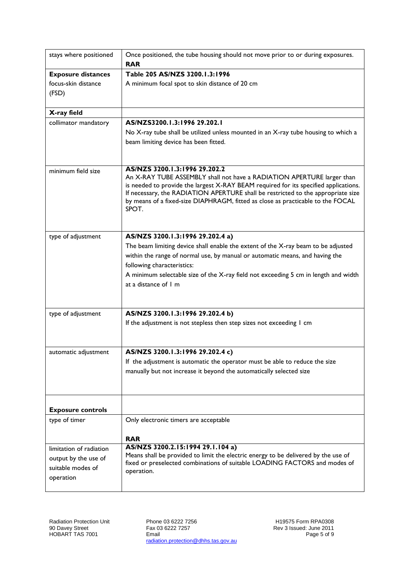| stays where positioned    | Once positioned, the tube housing should not move prior to or during exposures.<br><b>RAR</b>                                                                       |
|---------------------------|---------------------------------------------------------------------------------------------------------------------------------------------------------------------|
| <b>Exposure distances</b> | Table 205 AS/NZS 3200.1.3:1996                                                                                                                                      |
| focus-skin distance       | A minimum focal spot to skin distance of 20 cm                                                                                                                      |
| (FSD)                     |                                                                                                                                                                     |
|                           |                                                                                                                                                                     |
| X-ray field               |                                                                                                                                                                     |
| collimator mandatory      | AS/NZS3200.1.3:1996 29.202.1                                                                                                                                        |
|                           | No X-ray tube shall be utilized unless mounted in an X-ray tube housing to which a                                                                                  |
|                           | beam limiting device has been fitted.                                                                                                                               |
|                           |                                                                                                                                                                     |
| minimum field size        | AS/NZS 3200.1.3:1996 29.202.2                                                                                                                                       |
|                           | An X-RAY TUBE ASSEMBLY shall not have a RADIATION APERTURE larger than                                                                                              |
|                           | is needed to provide the largest X-RAY BEAM required for its specified applications.                                                                                |
|                           | If necessary, the RADIATION APERTURE shall be restricted to the appropriate size<br>by means of a fixed-size DIAPHRAGM, fitted as close as practicable to the FOCAL |
|                           | SPOT.                                                                                                                                                               |
|                           |                                                                                                                                                                     |
|                           |                                                                                                                                                                     |
| type of adjustment        | AS/NZS 3200.1.3:1996 29.202.4 a)<br>The beam limiting device shall enable the extent of the X-ray beam to be adjusted                                               |
|                           | within the range of normal use, by manual or automatic means, and having the                                                                                        |
|                           | following characteristics:                                                                                                                                          |
|                           | A minimum selectable size of the X-ray field not exceeding 5 cm in length and width                                                                                 |
|                           | at a distance of 1 m                                                                                                                                                |
|                           |                                                                                                                                                                     |
|                           |                                                                                                                                                                     |
| type of adjustment        | AS/NZS 3200.1.3:1996 29.202.4 b)                                                                                                                                    |
|                           | If the adjustment is not stepless then step sizes not exceeding I cm                                                                                                |
|                           |                                                                                                                                                                     |
| automatic adjustment      | AS/NZS 3200.1.3:1996 29.202.4 c)                                                                                                                                    |
|                           | If the adjustment is automatic the operator must be able to reduce the size                                                                                         |
|                           | manually but not increase it beyond the automatically selected size                                                                                                 |
|                           |                                                                                                                                                                     |
|                           |                                                                                                                                                                     |
| <b>Exposure controls</b>  |                                                                                                                                                                     |
| type of timer             | Only electronic timers are acceptable                                                                                                                               |
|                           | <b>RAR</b>                                                                                                                                                          |
| limitation of radiation   | AS/NZS 3200.2.15:1994 29.1.104 a)                                                                                                                                   |
| output by the use of      | Means shall be provided to limit the electric energy to be delivered by the use of                                                                                  |
| suitable modes of         | fixed or preselected combinations of suitable LOADING FACTORS and modes of                                                                                          |
| operation                 | operation.                                                                                                                                                          |
|                           |                                                                                                                                                                     |

Phone 03 6222 7256 Fax 03 6222 7257 Email radiation.protection@dhhs.tas.gov.au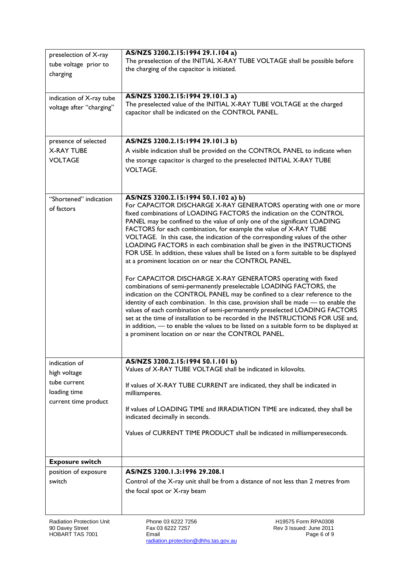| preselection of X-ray<br>tube voltage prior to<br>charging<br>indication of X-ray tube<br>voltage after "charging"<br>presence of selected<br><b>X-RAY TUBE</b><br><b>VOLTAGE</b> | AS/NZS 3200.2.15:1994 29.1.104 a)<br>The preselection of the INITIAL X-RAY TUBE VOLTAGE shall be possible before<br>the charging of the capacitor is initiated.<br>AS/NZS 3200.2.15:1994 29.101.3 a)<br>The preselected value of the INITIAL X-RAY TUBE VOLTAGE at the charged<br>capacitor shall be indicated on the CONTROL PANEL.<br>AS/NZS 3200.2.15:1994 29.101.3 b)<br>A visible indication shall be provided on the CONTROL PANEL to indicate when<br>the storage capacitor is charged to the preselected INITIAL X-RAY TUBE<br><b>VOLTAGE.</b>                                                                                                                                                                                                                                                                                                                                                                                                                                                                                                                                                                                                                                                                                                                            |
|-----------------------------------------------------------------------------------------------------------------------------------------------------------------------------------|-----------------------------------------------------------------------------------------------------------------------------------------------------------------------------------------------------------------------------------------------------------------------------------------------------------------------------------------------------------------------------------------------------------------------------------------------------------------------------------------------------------------------------------------------------------------------------------------------------------------------------------------------------------------------------------------------------------------------------------------------------------------------------------------------------------------------------------------------------------------------------------------------------------------------------------------------------------------------------------------------------------------------------------------------------------------------------------------------------------------------------------------------------------------------------------------------------------------------------------------------------------------------------------|
|                                                                                                                                                                                   |                                                                                                                                                                                                                                                                                                                                                                                                                                                                                                                                                                                                                                                                                                                                                                                                                                                                                                                                                                                                                                                                                                                                                                                                                                                                                   |
| "Shortened" indication<br>of factors                                                                                                                                              | AS/NZS 3200.2.15:1994 50.1.102 a) b)<br>For CAPACITOR DISCHARGE X-RAY GENERATORS operating with one or more<br>fixed combinations of LOADING FACTORS the indication on the CONTROL<br>PANEL may be confined to the value of only one of the significant LOADING<br>FACTORS for each combination, for example the value of X-RAY TUBE<br>VOLTAGE. In this case, the indication of the corresponding values of the other<br>LOADING FACTORS in each combination shall be given in the INSTRUCTIONS<br>FOR USE. In addition, these values shall be listed on a form suitable to be displayed<br>at a prominent location on or near the CONTROL PANEL.<br>For CAPACITOR DISCHARGE X-RAY GENERATORS operating with fixed<br>combinations of semi-permanently preselectable LOADING FACTORS, the<br>indication on the CONTROL PANEL may be confined to a clear reference to the<br>identity of each combination. In this case, provision shall be made - to enable the<br>values of each combination of semi-permanently preselected LOADING FACTORS<br>set at the time of installation to be recorded in the INSTRUCTIONS FOR USE and,<br>in addition, - to enable the values to be listed on a suitable form to be displayed at<br>a prominent location on or near the CONTROL PANEL. |
|                                                                                                                                                                                   |                                                                                                                                                                                                                                                                                                                                                                                                                                                                                                                                                                                                                                                                                                                                                                                                                                                                                                                                                                                                                                                                                                                                                                                                                                                                                   |
| indication of<br>high voltage<br>tube current<br>loading time<br>current time product                                                                                             | AS/NZS 3200.2.15:1994 50.1.101 b)<br>Values of X-RAY TUBE VOLTAGE shall be indicated in kilovolts.<br>If values of X-RAY TUBE CURRENT are indicated, they shall be indicated in<br>milliamperes.<br>If values of LOADING TIME and IRRADIATION TIME are indicated, they shall be<br>indicated decimally in seconds.<br>Values of CURRENT TIME PRODUCT shall be indicated in milliampereseconds.                                                                                                                                                                                                                                                                                                                                                                                                                                                                                                                                                                                                                                                                                                                                                                                                                                                                                    |
| <b>Exposure switch</b>                                                                                                                                                            |                                                                                                                                                                                                                                                                                                                                                                                                                                                                                                                                                                                                                                                                                                                                                                                                                                                                                                                                                                                                                                                                                                                                                                                                                                                                                   |
| position of exposure<br>switch                                                                                                                                                    | AS/NZS 3200.1.3:1996 29.208.1<br>Control of the X-ray unit shall be from a distance of not less than 2 metres from<br>the focal spot or X-ray beam                                                                                                                                                                                                                                                                                                                                                                                                                                                                                                                                                                                                                                                                                                                                                                                                                                                                                                                                                                                                                                                                                                                                |

Radiation Protection Unit 90 Davey Street HOBART TAS 7001

Phone 03 6222 7256 Fax 03 6222 7257 Email radiation.protection@dhhs.tas.gov.au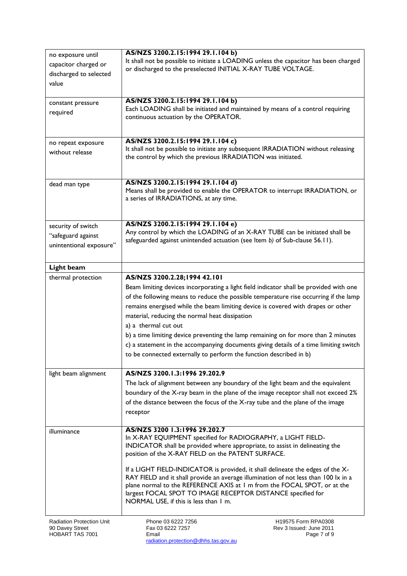| no exposure until                                   | AS/NZS 3200.2.15:1994 29.1.104 b)                                  |                                                                                                                                                                          |
|-----------------------------------------------------|--------------------------------------------------------------------|--------------------------------------------------------------------------------------------------------------------------------------------------------------------------|
| capacitor charged or                                | or discharged to the preselected INITIAL X-RAY TUBE VOLTAGE.       | It shall not be possible to initiate a LOADING unless the capacitor has been charged                                                                                     |
| discharged to selected                              |                                                                    |                                                                                                                                                                          |
| value                                               |                                                                    |                                                                                                                                                                          |
| constant pressure                                   | AS/NZS 3200.2.15:1994 29.1.104 b)                                  |                                                                                                                                                                          |
| required                                            |                                                                    | Each LOADING shall be initiated and maintained by means of a control requiring                                                                                           |
|                                                     | continuous actuation by the OPERATOR.                              |                                                                                                                                                                          |
|                                                     |                                                                    |                                                                                                                                                                          |
| no repeat exposure                                  | AS/NZS 3200.2.15:1994 29.1.104 c)                                  |                                                                                                                                                                          |
| without release                                     | the control by which the previous IRRADIATION was initiated.       | It shall not be possible to initiate any subsequent IRRADIATION without releasing                                                                                        |
|                                                     |                                                                    |                                                                                                                                                                          |
|                                                     |                                                                    |                                                                                                                                                                          |
| dead man type                                       | AS/NZS 3200.2.15:1994 29.1.104 d)                                  |                                                                                                                                                                          |
|                                                     | a series of IRRADIATIONS, at any time.                             | Means shall be provided to enable the OPERATOR to interrupt IRRADIATION, or                                                                                              |
|                                                     |                                                                    |                                                                                                                                                                          |
|                                                     |                                                                    |                                                                                                                                                                          |
| security of switch                                  | AS/NZS 3200.2.15:1994 29.1.104 e)                                  | Any control by which the LOADING of an X-RAY TUBE can be initiated shall be                                                                                              |
| "safeguard against                                  |                                                                    | safeguarded against unintended actuation (see Item b) of Sub-clause 56.11).                                                                                              |
| unintentional exposure"                             |                                                                    |                                                                                                                                                                          |
|                                                     |                                                                    |                                                                                                                                                                          |
| Light beam                                          |                                                                    |                                                                                                                                                                          |
| thermal protection                                  | AS/NZS 3200.2.28;1994 42.101                                       |                                                                                                                                                                          |
|                                                     |                                                                    | Beam limiting devices incorporating a light field indicator shall be provided with one                                                                                   |
|                                                     |                                                                    | of the following means to reduce the possible temperature rise occurring if the lamp<br>remains energised while the beam limiting device is covered with drapes or other |
|                                                     | material, reducing the normal heat dissipation                     |                                                                                                                                                                          |
|                                                     | a) a thermal cut out                                               |                                                                                                                                                                          |
|                                                     |                                                                    | b) a time limiting device preventing the lamp remaining on for more than 2 minutes                                                                                       |
|                                                     |                                                                    | c) a statement in the accompanying documents giving details of a time limiting switch                                                                                    |
|                                                     | to be connected externally to perform the function described in b) |                                                                                                                                                                          |
|                                                     |                                                                    |                                                                                                                                                                          |
| light beam alignment                                | AS/NZS 3200.1.3:1996 29.202.9                                      |                                                                                                                                                                          |
|                                                     |                                                                    | The lack of alignment between any boundary of the light beam and the equivalent                                                                                          |
|                                                     |                                                                    | boundary of the X-ray beam in the plane of the image receptor shall not exceed 2%                                                                                        |
|                                                     |                                                                    | of the distance between the focus of the X-ray tube and the plane of the image                                                                                           |
|                                                     | receptor                                                           |                                                                                                                                                                          |
| illuminance                                         | AS/NZS 3200 1.3:1996 29.202.7                                      |                                                                                                                                                                          |
|                                                     | In X-RAY EQUIPMENT specified for RADIOGRAPHY, a LIGHT FIELD-       |                                                                                                                                                                          |
|                                                     | position of the X-RAY FIELD on the PATENT SURFACE.                 | INDICATOR shall be provided where appropriate, to assist in delineating the                                                                                              |
|                                                     |                                                                    |                                                                                                                                                                          |
|                                                     |                                                                    | If a LIGHT FIELD-INDICATOR is provided, it shall delineate the edges of the X-                                                                                           |
|                                                     |                                                                    | RAY FIELD and it shall provide an average illumination of not less than 100 lx in a<br>plane normal to the REFERENCE AXIS at 1 m from the FOCAL SPOT, or at the          |
|                                                     | largest FOCAL SPOT TO IMAGE RECEPTOR DISTANCE specified for        |                                                                                                                                                                          |
|                                                     | NORMAL USE, if this is less than 1 m.                              |                                                                                                                                                                          |
|                                                     |                                                                    |                                                                                                                                                                          |
| <b>Radiation Protection Unit</b><br>90 Davey Street | Phone 03 6222 7256<br>Fax 03 6222 7257                             | H19575 Form RPA0308<br>Rev 3 Issued: June 2011                                                                                                                           |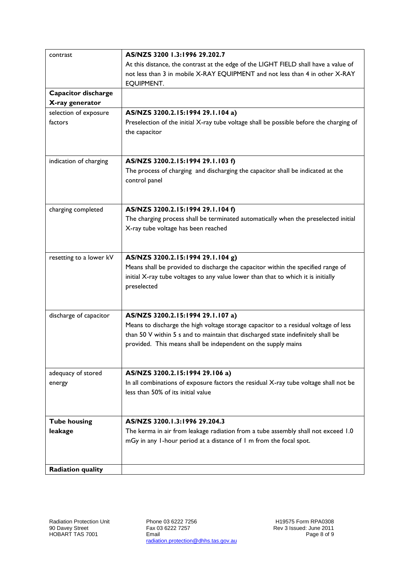| contrast                     | AS/NZS 3200 1.3:1996 29.202.7                                                                                                                                                                                                            |
|------------------------------|------------------------------------------------------------------------------------------------------------------------------------------------------------------------------------------------------------------------------------------|
|                              | At this distance, the contrast at the edge of the LIGHT FIELD shall have a value of                                                                                                                                                      |
|                              | not less than 3 in mobile X-RAY EQUIPMENT and not less than 4 in other X-RAY                                                                                                                                                             |
|                              | EQUIPMENT.                                                                                                                                                                                                                               |
| Capacitor discharge          |                                                                                                                                                                                                                                          |
| X-ray generator              |                                                                                                                                                                                                                                          |
| selection of exposure        | AS/NZS 3200.2.15:1994 29.1.104 a)                                                                                                                                                                                                        |
| factors                      | Preselection of the initial X-ray tube voltage shall be possible before the charging of<br>the capacitor                                                                                                                                 |
| indication of charging       | AS/NZS 3200.2.15:1994 29.1.103 f)                                                                                                                                                                                                        |
|                              | The process of charging and discharging the capacitor shall be indicated at the                                                                                                                                                          |
|                              | control panel                                                                                                                                                                                                                            |
| charging completed           | AS/NZS 3200.2.15:1994 29.1.104 f)                                                                                                                                                                                                        |
|                              | The charging process shall be terminated automatically when the preselected initial                                                                                                                                                      |
|                              | X-ray tube voltage has been reached                                                                                                                                                                                                      |
| resetting to a lower kV      | AS/NZS 3200.2.15:1994 29.1.104 g)                                                                                                                                                                                                        |
|                              | Means shall be provided to discharge the capacitor within the specified range of                                                                                                                                                         |
|                              | initial X-ray tube voltages to any value lower than that to which it is initially<br>preselected                                                                                                                                         |
|                              |                                                                                                                                                                                                                                          |
| discharge of capacitor       | AS/NZS 3200.2.15:1994 29.1.107 a)                                                                                                                                                                                                        |
|                              | Means to discharge the high voltage storage capacitor to a residual voltage of less<br>than 50 V within 5 s and to maintain that discharged state indefinitely shall be<br>provided. This means shall be independent on the supply mains |
|                              |                                                                                                                                                                                                                                          |
| adequacy of stored<br>energy | AS/NZS 3200.2.15:1994 29.106 a)<br>In all combinations of exposure factors the residual X-ray tube voltage shall not be                                                                                                                  |
|                              | less than 50% of its initial value                                                                                                                                                                                                       |
|                              |                                                                                                                                                                                                                                          |
| <b>Tube housing</b>          | AS/NZS 3200.1.3:1996 29.204.3                                                                                                                                                                                                            |
| leakage                      | The kerma in air from leakage radiation from a tube assembly shall not exceed 1.0                                                                                                                                                        |
|                              | mGy in any 1-hour period at a distance of 1 m from the focal spot.                                                                                                                                                                       |
|                              |                                                                                                                                                                                                                                          |
| <b>Radiation quality</b>     |                                                                                                                                                                                                                                          |

Radiation Protection Unit 90 Davey Street HOBART TAS 7001

Phone 03 6222 7256 Fax 03 6222 7257 Email radiation.protection@dhhs.tas.gov.au

H19575 Form RPA0308 Rev 3 Issued: June 2011 Page 8 of 9